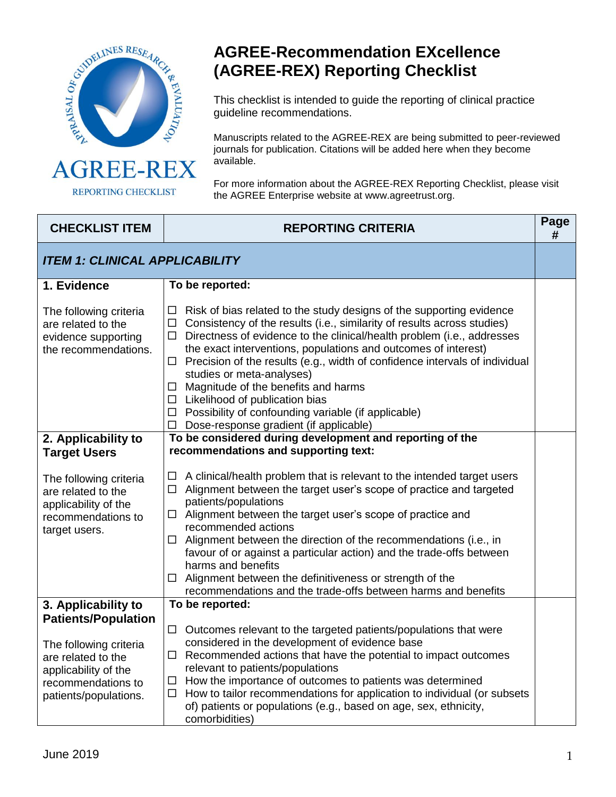

REPORTING CHECKLIST

## **AGREE-Recommendation EXcellence (AGREE-REX) Reporting Checklist**

This checklist is intended to guide the reporting of clinical practice guideline recommendations.

Manuscripts related to the AGREE-REX are being submitted to peer-reviewed journals for publication. Citations will be added here when they become available.

For more information about the AGREE-REX Reporting Checklist, please visit the AGREE Enterprise website at www.agreetrust.org.

| <b>CHECKLIST ITEM</b>                                                                                               | <b>REPORTING CRITERIA</b>                                                                                                                                                                                                                                                                                                                                                                                                                                                                                                                                                                                                                 | Page<br># |  |
|---------------------------------------------------------------------------------------------------------------------|-------------------------------------------------------------------------------------------------------------------------------------------------------------------------------------------------------------------------------------------------------------------------------------------------------------------------------------------------------------------------------------------------------------------------------------------------------------------------------------------------------------------------------------------------------------------------------------------------------------------------------------------|-----------|--|
| <b>ITEM 1: CLINICAL APPLICABILITY</b>                                                                               |                                                                                                                                                                                                                                                                                                                                                                                                                                                                                                                                                                                                                                           |           |  |
| 1. Evidence                                                                                                         | To be reported:                                                                                                                                                                                                                                                                                                                                                                                                                                                                                                                                                                                                                           |           |  |
| The following criteria<br>are related to the<br>evidence supporting<br>the recommendations.                         | $\Box$ Risk of bias related to the study designs of the supporting evidence<br>$\Box$ Consistency of the results (i.e., similarity of results across studies)<br>$\Box$ Directness of evidence to the clinical/health problem (i.e., addresses<br>the exact interventions, populations and outcomes of interest)<br>$\Box$ Precision of the results (e.g., width of confidence intervals of individual<br>studies or meta-analyses)<br>$\Box$ Magnitude of the benefits and harms<br>$\Box$ Likelihood of publication bias<br>$\Box$ Possibility of confounding variable (if applicable)<br>$\Box$ Dose-response gradient (if applicable) |           |  |
| 2. Applicability to<br><b>Target Users</b>                                                                          | To be considered during development and reporting of the<br>recommendations and supporting text:                                                                                                                                                                                                                                                                                                                                                                                                                                                                                                                                          |           |  |
| The following criteria<br>are related to the<br>applicability of the<br>recommendations to<br>target users.         | $\Box$ A clinical/health problem that is relevant to the intended target users<br>Alignment between the target user's scope of practice and targeted<br>$\Box$<br>patients/populations<br>$\Box$ Alignment between the target user's scope of practice and<br>recommended actions<br>$\Box$ Alignment between the direction of the recommendations (i.e., in<br>favour of or against a particular action) and the trade-offs between<br>harms and benefits<br>Alignment between the definitiveness or strength of the<br>$\Box$<br>recommendations and the trade-offs between harms and benefits                                          |           |  |
| 3. Applicability to<br><b>Patients/Population</b>                                                                   | To be reported:                                                                                                                                                                                                                                                                                                                                                                                                                                                                                                                                                                                                                           |           |  |
| The following criteria<br>are related to the<br>applicability of the<br>recommendations to<br>patients/populations. | $\Box$ Outcomes relevant to the targeted patients/populations that were<br>considered in the development of evidence base<br>$\Box$ Recommended actions that have the potential to impact outcomes<br>relevant to patients/populations<br>$\Box$ How the importance of outcomes to patients was determined<br>How to tailor recommendations for application to individual (or subsets<br>$\Box$<br>of) patients or populations (e.g., based on age, sex, ethnicity,<br>comorbidities)                                                                                                                                                     |           |  |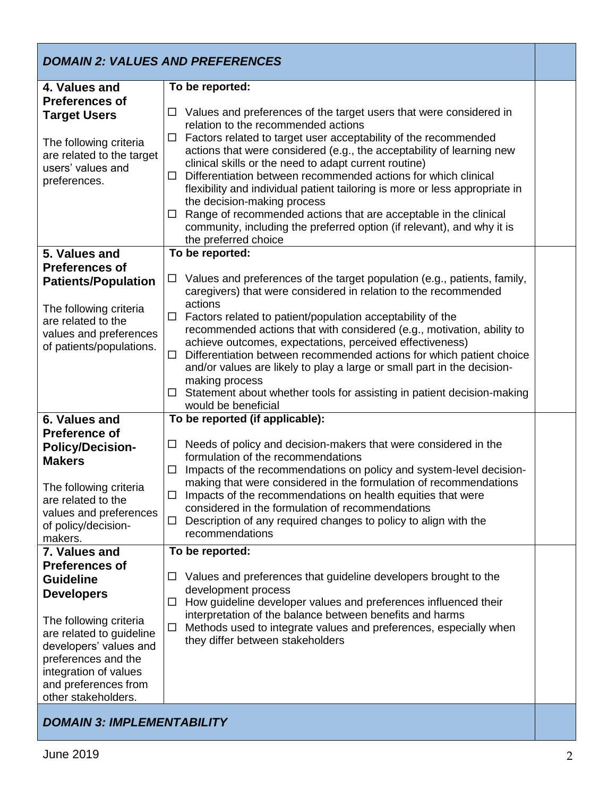| <b>DOMAIN 2: VALUES AND PREFERENCES</b>                                                                                                                                                                                                                        |                                                                                                                                                                                                                                                                                                                                                                                                                                                                                                                                                                                                                                                                                                             |  |  |
|----------------------------------------------------------------------------------------------------------------------------------------------------------------------------------------------------------------------------------------------------------------|-------------------------------------------------------------------------------------------------------------------------------------------------------------------------------------------------------------------------------------------------------------------------------------------------------------------------------------------------------------------------------------------------------------------------------------------------------------------------------------------------------------------------------------------------------------------------------------------------------------------------------------------------------------------------------------------------------------|--|--|
| 4. Values and<br><b>Preferences of</b><br><b>Target Users</b><br>The following criteria<br>are related to the target<br>users' values and<br>preferences.                                                                                                      | To be reported:<br>Values and preferences of the target users that were considered in<br>□<br>relation to the recommended actions<br>Factors related to target user acceptability of the recommended<br>□<br>actions that were considered (e.g., the acceptability of learning new<br>clinical skills or the need to adapt current routine)<br>Differentiation between recommended actions for which clinical<br>□<br>flexibility and individual patient tailoring is more or less appropriate in<br>the decision-making process<br>Range of recommended actions that are acceptable in the clinical<br>□<br>community, including the preferred option (if relevant), and why it is<br>the preferred choice |  |  |
| 5. Values and<br><b>Preferences of</b><br><b>Patients/Population</b><br>The following criteria<br>are related to the<br>values and preferences<br>of patients/populations.                                                                                     | To be reported:<br>Values and preferences of the target population (e.g., patients, family,<br>□<br>caregivers) that were considered in relation to the recommended<br>actions<br>Factors related to patient/population acceptability of the<br>$\Box$<br>recommended actions that with considered (e.g., motivation, ability to<br>achieve outcomes, expectations, perceived effectiveness)<br>Differentiation between recommended actions for which patient choice<br>$\Box$<br>and/or values are likely to play a large or small part in the decision-<br>making process<br>Statement about whether tools for assisting in patient decision-making<br>□<br>would be beneficial                           |  |  |
| 6. Values and<br><b>Preference of</b><br><b>Policy/Decision-</b><br><b>Makers</b><br>The following criteria<br>are related to the<br>values and preferences<br>of policy/decision-<br>makers.                                                                  | To be reported (if applicable):<br>Needs of policy and decision-makers that were considered in the<br>□<br>formulation of the recommendations<br>Impacts of the recommendations on policy and system-level decision-<br>$\Box$<br>making that were considered in the formulation of recommendations<br>$\Box$ Impacts of the recommendations on health equities that were<br>considered in the formulation of recommendations<br>Description of any required changes to policy to align with the<br>$\Box$<br>recommendations                                                                                                                                                                               |  |  |
| 7. Values and<br><b>Preferences of</b><br><b>Guideline</b><br><b>Developers</b><br>The following criteria<br>are related to guideline<br>developers' values and<br>preferences and the<br>integration of values<br>and preferences from<br>other stakeholders. | To be reported:<br>Values and preferences that guideline developers brought to the<br>ப<br>development process<br>How guideline developer values and preferences influenced their<br>$\Box$<br>interpretation of the balance between benefits and harms<br>Methods used to integrate values and preferences, especially when<br>$\Box$<br>they differ between stakeholders                                                                                                                                                                                                                                                                                                                                  |  |  |
| <b>DOMAIN 3: IMPLEMENTABILITY</b>                                                                                                                                                                                                                              |                                                                                                                                                                                                                                                                                                                                                                                                                                                                                                                                                                                                                                                                                                             |  |  |